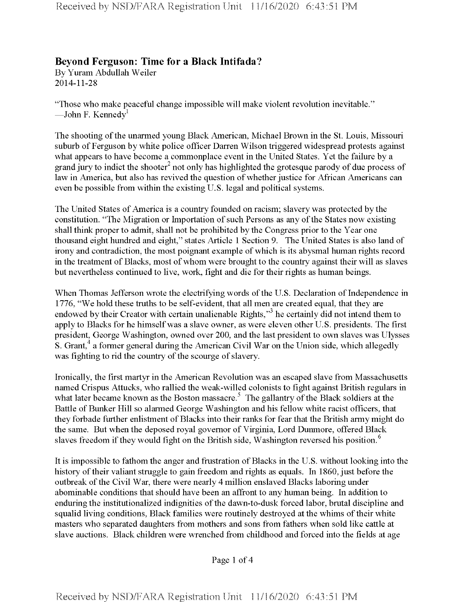## **Beyond Ferguson: Time for a Black Intifada?**

By Yuram Abdullah Weiler 2014-11-28

"Those who make peaceful change impossible will make violent revolution inevitable." —John F. Kennedy<sup>1</sup>

The shooting of the unarmed young Black American, Michael Brown in the St. Louis, Missouri suburb of Ferguson by white police officer Darren Wilson triggered widespread protests against what appears to have become a commonplace event in the United States. Yet the failure by a grand jury to indict the shooter<sup>2</sup> not only has highlighted the grotesque parody of due process of law in America, but also has revived the question of whether justice for African Americans can even be possible from within the existing U.S. legal and political systems.

The United States of America is a country founded on racism; slavery was protected by the constitution. "The Migration or Importation of such Persons as any of the States now existing shall think proper to admit, shall not be prohibited by the Congress prior to the Year one thousand eight hundred and eight," states Article <sup>1</sup> Section 9. The United States is also land of irony and contradiction, the most poignant example of which is its abysmal human rights record in the treatment of Blacks, most of whom were brought to the country against their will as slaves but nevertheless continued to live, work, fight and die for their rights as human beings.

When Thomas Jefferson wrote the electrifying words of the U.S. Declaration of Independence in 1776, "We hold these truths to be self-evident, that all men are created equal, that they are endowed by their Creator with certain unalienable Rights,"<sup>3</sup> he certainly did not intend them to apply to Blacks for he himself was a slave owner, as were eleven other U.S. presidents. The first president, George Washington, owned over 200, and the last president to own slaves was Ulysses S. Grant,<sup>4</sup> a former general during the American Civil War on the Union side, which allegedly was fighting to rid the country of the scourge of slavery.

Ironically, the first martyr in the American Revolution was an escaped slave from Massachusetts named Crispus Attucks, who rallied the weak-willed colonists to fight against British regulars in what later became known as the Boston massacre.<sup>5</sup> The gallantry of the Black soldiers at the Battle of Bunker Hill so alarmed George Washington and his fellow white racist officers, that they forbade further enlistment of Blacks into their ranks for fear that the British army might do the same. But when the deposed royal governor of Virginia, Lord Dunmore, offered Black slaves freedom if they would fight on the British side, Washington reversed his position.<sup>6</sup>

It is impossible to fathom the anger and frustration of Blacks in the U.S. without looking into the history of their valiant struggle to gain freedom and rights as equals. In 1860, just before the outbreak of the Civil War, there were nearly 4 million enslaved Blacks laboring under abominable conditions that should have been an affront to any human being. In addition to enduring the institutionalized indignities of the dawn-to-dusk forced labor, brutal discipline and squalid living conditions, Black families were routinely destroyed at the whims of their white masters who separated daughters from mothers and sons from fathers when sold like cattle at slave auctions. Black children were wrenched from childhood and forced into the fields at age

Page <sup>1</sup> of 4

Received by NSD/FARA Registration Unit 11/16/2020 6:43:51 PM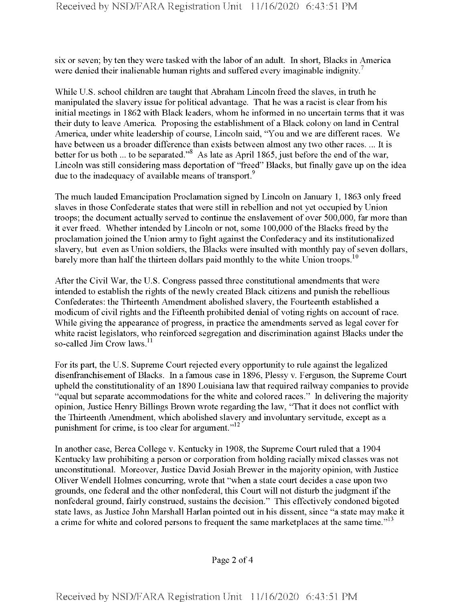six or seven; by ten they were tasked with the labor of an adult. In short, Blacks in America were denied their inalienable human rights and suffered every imaginable indignity.<sup>7</sup>

While U.S. school children are taught that Abraham Lincoln freed the slaves, in truth he manipulated the slavery issue for political advantage. That he was a racist is clear from his initial meetings in 1862 with Black leaders, whom he informed in no uncertain terms that it was their duty to leave America. Proposing the establishment of a Black colony on land in Central America, under white leadership of course, Lincoln said, "You and we are different races. We have between us a broader difference than exists between almost any two other races. ... It is better for us both ... to be separated."<sup>8</sup> As late as April 1865, just before the end of the war, Lincoln was still considering mass deportation of "freed" Blacks, but finally gave up on the idea due to the inadequacy of available means of transport.<sup>9</sup>

The much lauded Emancipation Proclamation signed by Lincoln on January 1, 1863 only freed slaves in those Confederate states that were still in rebellion and not yet occupied by Union troops; the document actually served to continue the enslavement of over 500,000, far more than it ever freed. Whether intended by Lincoln or not, some 100,000 ofthe Blacks freed by the proclamation joined the Union army to fight against the Confederacy and its institutionalized slavery, but even as Union soldiers, the Blacks were insulted with monthly pay of seven dollars, barely more than half the thirteen dollars paid monthly to the white Union troops.<sup>10</sup>

After the Civil War, the U.S. Congress passed three constitutional amendments that were intended to establish the rights of the newly created Black citizens and punish the rebellious Confederates: the Thirteenth Amendment abolished slavery, the Fourteenth established a modicum of civil rights and the Fifteenth prohibited denial of voting rights on account of race. While giving the appearance of progress, in practice the amendments served as legal cover for white racist legislators, who reinforced segregation and discrimination against Blacks under the so-called Jim Crow laws.<sup>11</sup>

For its part, the U.S. Supreme Court rejected every opportunity to rule against the legalized disenfranchisement of Blacks. In a famous case in 1896, Plessy v. Ferguson, the Supreme Court upheld the constitutionality of an 1890 Louisiana law that required railway companies to provide "equal but separate accommodations for the white and colored races." In delivering the majority opinion, Justice Henry Billings Brown wrote regarding the law, "That it does not conflict with the Thirteenth Amendment, which abolished slavery and involuntary servitude, except as a punishment for crime, is too clear for argument." $12$ 

In another case, Berea College v. Kentucky in 1908, the Supreme Court ruled that a 1904 Kentucky law prohibiting a person or corporation from holding racially mixed classes was not unconstitutional. Moreover, Justice David Josiah Brewer in the majority opinion, with Justice Oliver Wendell Holmes concurring, wrote that "when a state court decides a case upon two grounds, one federal and the other nonfederal, this Court will not disturb the judgment ifthe nonfederal ground, fairly construed, sustains the decision." This effectively condoned bigoted state laws, as Justice John Marshall Harlan pointed out in his dissent, since "a state may make it a crime for white and colored persons to frequent the same marketplaces at the same time."<sup>13</sup>

Page 2 of 4

Received by NSD/FARA Registration Unit 11/16/2020 6:43:51 PM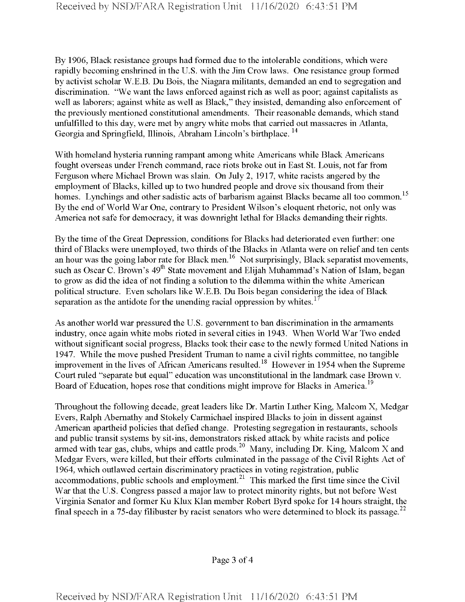By 1906, Black resistance groups had formed due to the intolerable conditions, which were rapidly becoming enshrined in the U.S. with the Jim Crow laws. One resistance group formed by activist scholar W.E.B. Du Bois, the Niagara militants, demanded an end to segregation and discrimination. "We want the laws enforced against rich as well as poor; against capitalists as well as laborers; against white as well as Black," they insisted, demanding also enforcement of the previously mentioned constitutional amendments. Their reasonable demands, which stand unfulfilled to this day, were met by angry white mobs that carried out massacres in Atlanta, Georgia and Springfield, Illinois, Abraham Lincoln's birthplace.<sup>14</sup>

With homeland hysteria running rampant among white Americans while Black Americans fought overseas under French command, race riots broke out in East St. Louis, not far from Ferguson where Michael Brown was slain. On July 2, 1917, white racists angered by the employment of Blacks, killed up to two hundred people and drove six thousand from their homes. Lynchings and other sadistic acts of barbarism against Blacks became all too common.<sup>15</sup> By the end of World War One, contrary to President Wilson's eloquent rhetoric, not only was America not safe for democracy, it was downright lethal for Blacks demanding their rights.

By the time of the Great Depression, conditions for Blacks had deteriorated even further: one third of Blacks were unemployed, two thirds of the Blacks in Atlanta were on relief and ten cents an hour was the going labor rate for Black men.<sup>16</sup> Not surprisingly, Black separatist movements, such as Oscar C. Brown's 49<sup>th</sup> State movement and Elijah Muhammad's Nation of Islam, began to grow as did the idea of not finding a solution to the dilemma within the white American political structure. Even scholars like W.E.B. Du Bois began considering the idea of Black separation as the antidote for the unending racial oppression by whites.<sup>17</sup>

As another world war pressured the U.S. government to ban discrimination in the armaments industry, once again white mobs rioted in several cities in 1943. When World War Two ended without significant social progress, Blacks took their case to the newly formed United Nations in 1947. While the move pushed President Truman to name a civil rights committee, no tangible improvement in the lives of African Americans resulted.<sup>18</sup> However in 1954 when the Supreme Court ruled "separate but equal" education was unconstitutional in the landmark case Brown v. Board of Education, hopes rose that conditions might improve for Blacks in America.<sup>19</sup>

Throughout the following decade, great leaders like Dr. Martin Luther King, Malcom X, Medgar Evers, Ralph Abernathy and Stokely Carmichael inspired Blacks to join in dissent against American apartheid policies that defied change. Protesting segregation in restaurants, schools and public transit systems by sit-ins, demonstrators risked attack by white racists and police armed with tear gas, clubs, whips and cattle prods.<sup>20</sup> Many, including Dr. King, Malcom X and Medgar Evers, were killed, but their efforts culminated in the passage of the Civil Rights Act of 1964, which outlawed certain discriminatory practices in voting registration, public accommodations, public schools and employment.<sup>21</sup> This marked the first time since the Civil War that the U.S. Congress passed a major law to protect minority rights, but not before West Virginia Senator and former Ku Klux Klan member Robert Byrd spoke for 14 hours straight, the final speech in a 75-day filibuster by racist senators who were determined to block its passage.<sup>22</sup>

Page 3 of 4